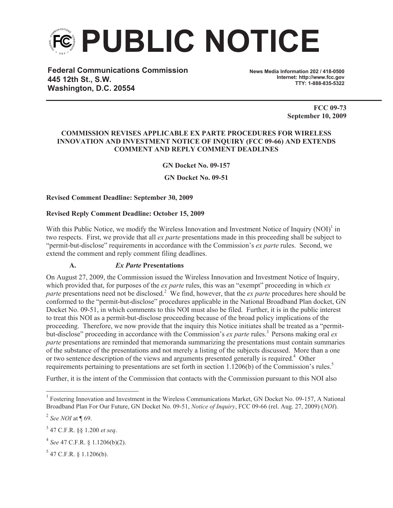

**Federal Communications Commission 445 12th St., S.W. Washington, D.C. 20554**

**News Media Information 202 / 418-0500 Internet: http://www.fcc.gov TTY: 1-888-835-5322**

> **FCC 09-73 September 10, 2009**

#### **COMMISSION REVISES APPLICABLE EX PARTE PROCEDURES FOR WIRELESS INNOVATION AND INVESTMENT NOTICE OF INQUIRY (FCC 09-66) AND EXTENDS COMMENT AND REPLY COMMENT DEADLINES**

**GN Docket No. 09-157**

**GN Docket No. 09-51**

### **Revised Comment Deadline: September 30, 2009**

#### **Revised Reply Comment Deadline: October 15, 2009**

With this Public Notice, we modify the Wireless Innovation and Investment Notice of Inquiry  $(NOI)^1$  in two respects. First, we provide that all *ex parte* presentations made in this proceeding shall be subject to "permit-but-disclose" requirements in accordance with the Commission's *ex parte* rules. Second, we extend the comment and reply comment filing deadlines.

## **A.** *Ex Parte* **Presentations**

On August 27, 2009, the Commission issued the Wireless Innovation and Investment Notice of Inquiry, which provided that, for purposes of the *ex parte* rules, this was an "exempt" proceeding in which *ex parte* presentations need not be disclosed.<sup>2</sup> We find, however, that the *ex parte* procedures here should be conformed to the "permit-but-disclose" procedures applicable in the National Broadband Plan docket, GN Docket No. 09-51, in which comments to this NOI must also be filed. Further, it is in the public interest to treat this NOI as a permit-but-disclose proceeding because of the broad policy implications of the proceeding. Therefore, we now provide that the inquiry this Notice initiates shall be treated as a "permitbut-disclose" proceeding in accordance with the Commission's *ex parte* rules.<sup>3</sup> Persons making oral *ex parte* presentations are reminded that memoranda summarizing the presentations must contain summaries of the substance of the presentations and not merely a listing of the subjects discussed. More than a one or two sentence description of the views and arguments presented generally is required.<sup>4</sup> Other requirements pertaining to presentations are set forth in section 1.1206(b) of the Commission's rules.<sup>5</sup>

Further, it is the intent of the Commission that contacts with the Commission pursuant to this NOI also

 $5$  47 C.F.R. § 1.1206(b).

<sup>&</sup>lt;sup>1</sup> Fostering Innovation and Investment in the Wireless Communications Market, GN Docket No. 09-157, A National Broadband Plan For Our Future, GN Docket No. 09-51, *Notice of Inquiry*, FCC 09-66 (rel. Aug. 27, 2009) (*NOI*).

<sup>2</sup> *See NOI* at ¶ 69.

<sup>3</sup> 47 C.F.R. §§ 1.200 *et seq*.

<sup>4</sup> *See* 47 C.F.R. § 1.1206(b)(2).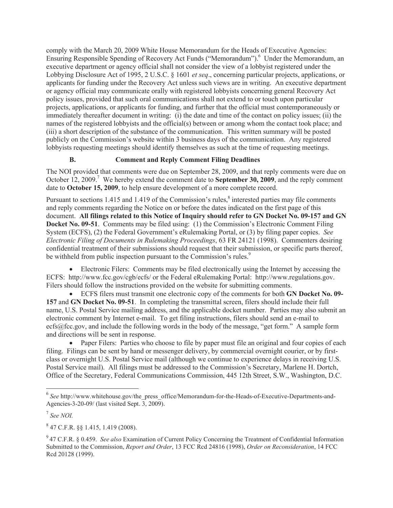comply with the March 20, 2009 White House Memorandum for the Heads of Executive Agencies: Ensuring Responsible Spending of Recovery Act Funds ("Memorandum").<sup>6</sup> Under the Memorandum, an executive department or agency official shall not consider the view of a lobbyist registered under the Lobbying Disclosure Act of 1995, 2 U.S.C. § 1601 *et seq*., concerning particular projects, applications, or applicants for funding under the Recovery Act unless such views are in writing. An executive department or agency official may communicate orally with registered lobbyists concerning general Recovery Act policy issues, provided that such oral communications shall not extend to or touch upon particular projects, applications, or applicants for funding, and further that the official must contemporaneously or immediately thereafter document in writing: (i) the date and time of the contact on policy issues; (ii) the names of the registered lobbyists and the official(s) between or among whom the contact took place; and (iii) a short description of the substance of the communication. This written summary will be posted publicly on the Commission's website within 3 business days of the communication. Any registered lobbyists requesting meetings should identify themselves as such at the time of requesting meetings.

# **B. Comment and Reply Comment Filing Deadlines**

The NOI provided that comments were due on September 28, 2009, and that reply comments were due on October 12, 2009.<sup>7</sup> We hereby extend the comment date to **September 30, 2009**, and the reply comment date to **October 15, 2009**, to help ensure development of a more complete record.

Pursuant to sections 1.415 and 1.419 of the Commission's rules,<sup>8</sup> interested parties may file comments and reply comments regarding the Notice on or before the dates indicated on the first page of this document. **All filings related to this Notice of Inquiry should refer to GN Docket No. 09-157 and GN Docket No. 09-51**. Comments may be filed using: (1) the Commission's Electronic Comment Filing System (ECFS), (2) the Federal Government's eRulemaking Portal, or (3) by filing paper copies. *See Electronic Filing of Documents in Rulemaking Proceedings*, 63 FR 24121 (1998). Commenters desiring confidential treatment of their submissions should request that their submission, or specific parts thereof, be withheld from public inspection pursuant to the Commission's rules.<sup>9</sup>

• Electronic Filers: Comments may be filed electronically using the Internet by accessing the ECFS: http://www.fcc.gov/cgb/ecfs/ or the Federal eRulemaking Portal: http://www.regulations.gov. Filers should follow the instructions provided on the website for submitting comments.

· ECFS filers must transmit one electronic copy of the comments for both **GN Docket No. 09- 157** and **GN Docket No. 09-51**. In completing the transmittal screen, filers should include their full name, U.S. Postal Service mailing address, and the applicable docket number. Parties may also submit an electronic comment by Internet e-mail. To get filing instructions, filers should send an e-mail to ecfs@fcc.gov, and include the following words in the body of the message, "get form." A sample form and directions will be sent in response.

• Paper Filers: Parties who choose to file by paper must file an original and four copies of each filing. Filings can be sent by hand or messenger delivery, by commercial overnight courier, or by firstclass or overnight U.S. Postal Service mail (although we continue to experience delays in receiving U.S. Postal Service mail). All filings must be addressed to the Commission's Secretary, Marlene H. Dortch, Office of the Secretary, Federal Communications Commission, 445 12th Street, S.W., Washington, D.C.

<sup>&</sup>lt;sup>6</sup> See http://www.whitehouse.gov/the\_press\_office/Memorandum-for-the-Heads-of-Executive-Departments-and-Agencies-3-20-09/ (last visited Sept. 3, 2009).

<sup>7</sup> *See NOI.*

<sup>8</sup> 47 C.F.R. §§ 1.415, 1.419 (2008).

<sup>9</sup> 47 C.F.R. § 0.459. *See also* Examination of Current Policy Concerning the Treatment of Confidential Information Submitted to the Commission, *Report and Order*, 13 FCC Rcd 24816 (1998), *Order on Reconsideration*, 14 FCC Rcd 20128 (1999).